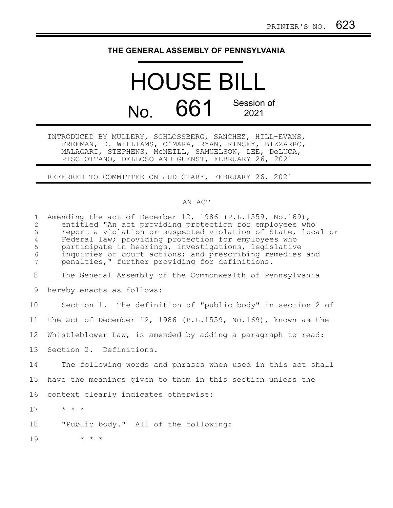## **THE GENERAL ASSEMBLY OF PENNSYLVANIA**

## HOUSE BILL No. 661 Session of 2021

INTRODUCED BY MULLERY, SCHLOSSBERG, SANCHEZ, HILL-EVANS, FREEMAN, D. WILLIAMS, O'MARA, RYAN, KINSEY, BIZZARRO, MALAGARI, STEPHENS, McNEILL, SAMUELSON, LEE, DeLUCA, PISCIOTTANO, DELLOSO AND GUENST, FEBRUARY 26, 2021

REFERRED TO COMMITTEE ON JUDICIARY, FEBRUARY 26, 2021

## AN ACT

| $\mathbf{1}$<br>$\overline{c}$<br>$\mathcal{S}$<br>$\overline{4}$<br>5<br>$\epsilon$<br>7 | Amending the act of December 12, 1986 (P.L.1559, No.169),<br>entitled "An act providing protection for employees who<br>report a violation or suspected violation of State, local or<br>Federal law; providing protection for employees who<br>participate in hearings, investigations, legislative<br>inquiries or court actions; and prescribing remedies and<br>penalties," further providing for definitions. |
|-------------------------------------------------------------------------------------------|-------------------------------------------------------------------------------------------------------------------------------------------------------------------------------------------------------------------------------------------------------------------------------------------------------------------------------------------------------------------------------------------------------------------|
| 8                                                                                         | The General Assembly of the Commonwealth of Pennsylvania                                                                                                                                                                                                                                                                                                                                                          |
| 9                                                                                         | hereby enacts as follows:                                                                                                                                                                                                                                                                                                                                                                                         |
| 10                                                                                        | Section 1. The definition of "public body" in section 2 of                                                                                                                                                                                                                                                                                                                                                        |
| 11                                                                                        | the act of December 12, 1986 (P.L.1559, No.169), known as the                                                                                                                                                                                                                                                                                                                                                     |
| 12 <sup>°</sup>                                                                           | Whistleblower Law, is amended by adding a paragraph to read:                                                                                                                                                                                                                                                                                                                                                      |
| 13                                                                                        | Section 2. Definitions.                                                                                                                                                                                                                                                                                                                                                                                           |
| 14                                                                                        | The following words and phrases when used in this act shall                                                                                                                                                                                                                                                                                                                                                       |
| 15                                                                                        | have the meanings given to them in this section unless the                                                                                                                                                                                                                                                                                                                                                        |
| 16                                                                                        | context clearly indicates otherwise:                                                                                                                                                                                                                                                                                                                                                                              |
| 17                                                                                        | $\star$ $\star$ $\star$                                                                                                                                                                                                                                                                                                                                                                                           |
| 18                                                                                        | "Public body." All of the following:                                                                                                                                                                                                                                                                                                                                                                              |
| 19                                                                                        | $\star$ $\star$ $\star$                                                                                                                                                                                                                                                                                                                                                                                           |